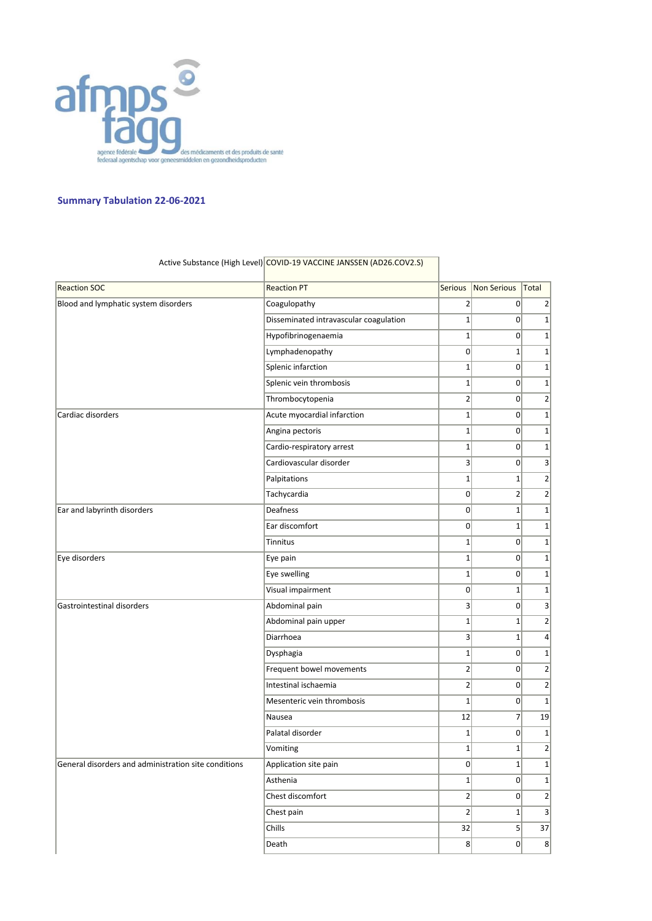

## **Summary Tabulation 22-06-2021**

| <b>Reaction SOC</b>                                  | <b>Reaction PT</b>                     | <b>Serious</b>          | Non Serious    | Total            |
|------------------------------------------------------|----------------------------------------|-------------------------|----------------|------------------|
| Blood and lymphatic system disorders                 | Coagulopathy                           | $\overline{2}$          | 0              | $\overline{2}$   |
|                                                      | Disseminated intravascular coagulation | $\mathbf 1$             | $\overline{0}$ | $1\vert$         |
|                                                      | Hypofibrinogenaemia                    | $\mathbf{1}$            | $\overline{0}$ | $\mathbf{1}$     |
|                                                      | Lymphadenopathy                        | 0                       | $\mathbf 1$    | $1\,$            |
|                                                      | Splenic infarction                     | $\mathbf{1}$            | $\mathbf 0$    | $\mathbf{1}$     |
|                                                      | Splenic vein thrombosis                | $\mathbf{1}$            | $\overline{0}$ | $1\,$            |
|                                                      | Thrombocytopenia                       | $\overline{2}$          | 0              | $\overline{2}$   |
| Cardiac disorders                                    | Acute myocardial infarction            | $1\vert$                | 0              | $1\vert$         |
|                                                      | Angina pectoris                        | $\mathbf{1}$            | $\overline{0}$ | $\mathbf{1}$     |
|                                                      | Cardio-respiratory arrest              | $\mathbf{1}$            | $\overline{0}$ | $\mathbf{1}$     |
|                                                      | Cardiovascular disorder                | 3 <sup>2</sup>          | $\overline{0}$ | $\vert 3 \vert$  |
|                                                      | Palpitations                           | $\mathbf{1}$            | $\mathbf 1$    | $\overline{2}$   |
|                                                      | Tachycardia                            | 0                       | $\overline{2}$ | $\left  \right $ |
| Ear and labyrinth disorders                          | Deafness                               | 0                       | $\mathbf 1$    | $\mathbf{1}$     |
|                                                      | Ear discomfort                         | $\Omega$                | $\mathbf{1}$   | $\mathbf{1}$     |
|                                                      | Tinnitus                               | $\mathbf{1}$            | $\overline{0}$ | $1\vert$         |
| Eye disorders                                        | Eye pain                               | $\mathbf{1}$            | $\overline{0}$ | $\mathbf{1}$     |
|                                                      | Eye swelling                           | $\mathbf{1}$            | $\mathbf 0$    | $1\,$            |
|                                                      | Visual impairment                      | 0                       | $\mathbf 1$    | $\mathbf{1}$     |
| Gastrointestinal disorders                           | Abdominal pain                         | $\vert$ 3               | 0              | 3                |
|                                                      | Abdominal pain upper                   | $\mathbf{1}$            | $\mathbf 1$    | $2\vert$         |
|                                                      | Diarrhoea                              | $\overline{\mathbf{3}}$ | $\mathbf 1$    | $\vert 4 \vert$  |
|                                                      | Dysphagia                              | $\mathbf{1}$            | $\overline{0}$ | $1\vert$         |
|                                                      | Frequent bowel movements               | $\overline{2}$          | 0              | $\left  \right $ |
|                                                      | Intestinal ischaemia                   | $\overline{2}$          | 0              | $\overline{2}$   |
|                                                      | Mesenteric vein thrombosis             | $\mathbf{1}$            | 0              | $\mathbf{1}$     |
|                                                      | Nausea                                 | 12                      | $\overline{7}$ | 19               |
|                                                      | Palatal disorder                       | $\mathbf 1$             | 0              | $1\,$            |
|                                                      | Vomiting                               | $\mathbf 1$             | $\mathbf{1}$   | $\overline{2}$   |
| General disorders and administration site conditions | Application site pain                  | 0                       | 1 <sub>1</sub> | $1\vert$         |
|                                                      | Asthenia                               | $1\vert$                | 0              | $1\vert$         |
|                                                      | Chest discomfort                       | $\overline{2}$          | 0              | $\left  \right $ |
|                                                      | Chest pain                             | $\overline{2}$          | $1\vert$       | $\vert 3 \vert$  |
|                                                      | Chills                                 | 32                      | 5 <sup>2</sup> | 37               |
|                                                      | Death                                  | $\mathbf{8}$            | 0              | 8                |
|                                                      |                                        |                         |                |                  |

## Active Substance (High Level) COVID-19 VACCINE JANSSEN (AD26.COV2.S)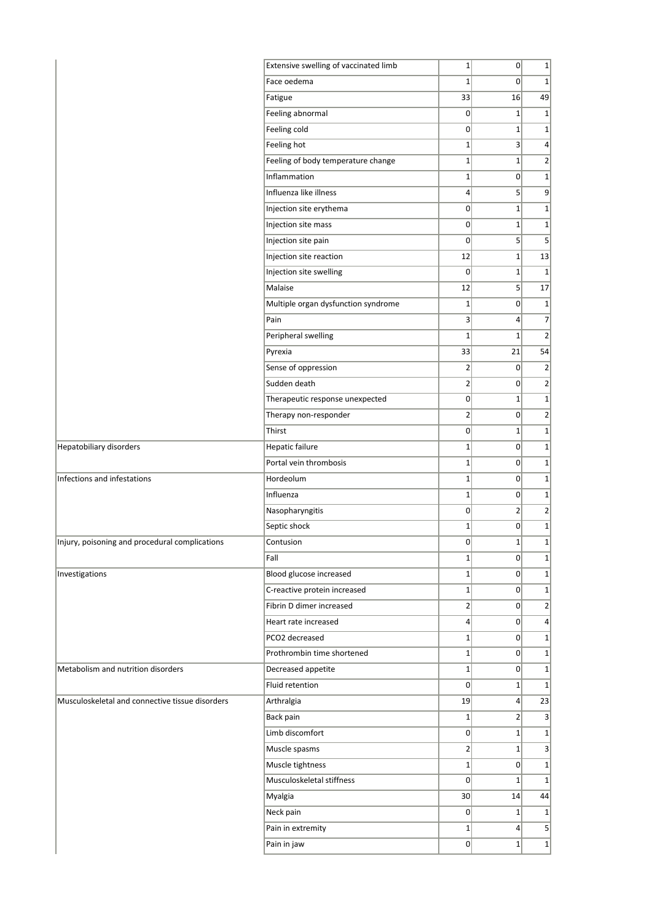|                                                 | Extensive swelling of vaccinated limb | $1\vert$        | $\sigma$        | $\mathbf{1}$            |
|-------------------------------------------------|---------------------------------------|-----------------|-----------------|-------------------------|
|                                                 | Face oedema                           | $\mathbf{1}$    | 0               | $\mathbf{1}$            |
|                                                 | Fatigue                               | 33              | 16              | 49                      |
|                                                 | Feeling abnormal                      | 0               | $1\vert$        | $1\,$                   |
|                                                 | Feeling cold                          | 0               | $\mathbf{1}$    | $\mathbf{1}$            |
|                                                 | Feeling hot                           | $1\vert$        | $\vert$ 3       | $\overline{4}$          |
|                                                 | Feeling of body temperature change    | $1\vert$        | $\mathbf{1}$    | $\overline{2}$          |
|                                                 | Inflammation                          | $1\vert$        | $\mathsf{o}$    | $1\vert$                |
|                                                 | Influenza like illness                | $\vert$         | 5 <sup>1</sup>  | 9                       |
|                                                 | Injection site erythema               | 0               | $\mathbf{1}$    | $\mathbf{1}$            |
|                                                 | Injection site mass                   | 0               | $1\vert$        | $1\,$                   |
|                                                 | Injection site pain                   | $\overline{0}$  | 5 <sup>1</sup>  | 5                       |
|                                                 | Injection site reaction               | 12              | $1\vert$        | 13                      |
|                                                 | Injection site swelling               | $\mathbf 0$     | $\mathbf{1}$    | $\mathbf{1}$            |
|                                                 | Malaise                               | 12              | 5 <sup>1</sup>  | 17                      |
|                                                 | Multiple organ dysfunction syndrome   | $1\vert$        | $\overline{0}$  | $1\,$                   |
|                                                 | Pain                                  | 3 <sup>2</sup>  | $\vert 4 \vert$ | $\overline{7}$          |
|                                                 | Peripheral swelling                   | $\mathbf{1}$    | $\mathbf{1}$    | $\overline{2}$          |
|                                                 | Pyrexia                               | 33              | 21              | 54                      |
|                                                 | Sense of oppression                   | $\overline{2}$  | $\overline{0}$  | $\overline{2}$          |
|                                                 | Sudden death                          | $\overline{2}$  | $\overline{0}$  | $\overline{2}$          |
|                                                 | Therapeutic response unexpected       | 0               | $\mathbf{1}$    | $\mathbf{1}$            |
|                                                 | Therapy non-responder                 | $\mathbf{2}$    | $\overline{0}$  | $\overline{2}$          |
|                                                 | Thirst                                | 0               | $1\vert$        | $1\,$                   |
| Hepatobiliary disorders                         | Hepatic failure                       | $1\vert$        | $\overline{0}$  | $\mathbf{1}$            |
|                                                 | Portal vein thrombosis                | $1\vert$        | $\overline{0}$  | $\mathbf{1}$            |
| Infections and infestations                     | Hordeolum                             | $1\vert$        | $\overline{0}$  | $\mathbf{1}$            |
|                                                 | Influenza                             | $1\vert$        | $\overline{0}$  | $1\,$                   |
|                                                 | Nasopharyngitis                       | 0               | $\overline{2}$  | $\overline{2}$          |
|                                                 | Septic shock                          | $1\vert$        | $\overline{0}$  | $\mathbf 1$             |
| Injury, poisoning and procedural complications  | Contusion                             | $\overline{0}$  | $\mathbf{1}$    | $\mathbf{1}$            |
|                                                 | Fall                                  | $1\vert$        | $\overline{0}$  | $\mathbf{1}$            |
| Investigations                                  | Blood glucose increased               | $1\vert$        | $\overline{0}$  | $\mathbf{1}$            |
|                                                 | C-reactive protein increased          | $1\vert$        | $\overline{0}$  | $\mathbf{1}$            |
|                                                 | Fibrin D dimer increased              | $\overline{2}$  | $\Omega$        | $\overline{2}$          |
|                                                 | Heart rate increased                  | $\vert 4 \vert$ | $\overline{0}$  | $\overline{\mathbf{r}}$ |
|                                                 | PCO2 decreased                        | $1\vert$        | $\overline{0}$  | $\mathbf 1$             |
|                                                 | Prothrombin time shortened            | $1\vert$        | $\Omega$        | $\mathbf{1}$            |
| Metabolism and nutrition disorders              | Decreased appetite                    | $1\vert$        | $\overline{0}$  | $\mathbf{1}$            |
|                                                 | Fluid retention                       | $\overline{0}$  | $1\vert$        | $\mathbf 1$             |
| Musculoskeletal and connective tissue disorders | Arthralgia                            | 19              | $\vert 4 \vert$ | 23                      |
|                                                 | Back pain                             | $1\vert$        | $\overline{2}$  | 3                       |
|                                                 | Limb discomfort                       | 0               | $1\vert$        | $\mathbf{1}$            |
|                                                 | Muscle spasms                         | $\overline{2}$  | $1\vert$        | 3                       |
|                                                 | Muscle tightness                      | $1\vert$        | $\overline{0}$  | $\mathbf 1$             |
|                                                 | Musculoskeletal stiffness             | $\overline{0}$  | $1\vert$        | $\mathbf{1}$            |
|                                                 | Myalgia                               | 30              | 14              | 44                      |
|                                                 | Neck pain                             | 0               | $1\vert$        | $\mathbf 1$             |
|                                                 | Pain in extremity                     | $1\vert$        | $\vert 4 \vert$ | $5\overline{)}$         |
|                                                 | Pain in jaw                           | $\overline{0}$  | $1\vert$        | $\mathbf{1}$            |
|                                                 |                                       |                 |                 |                         |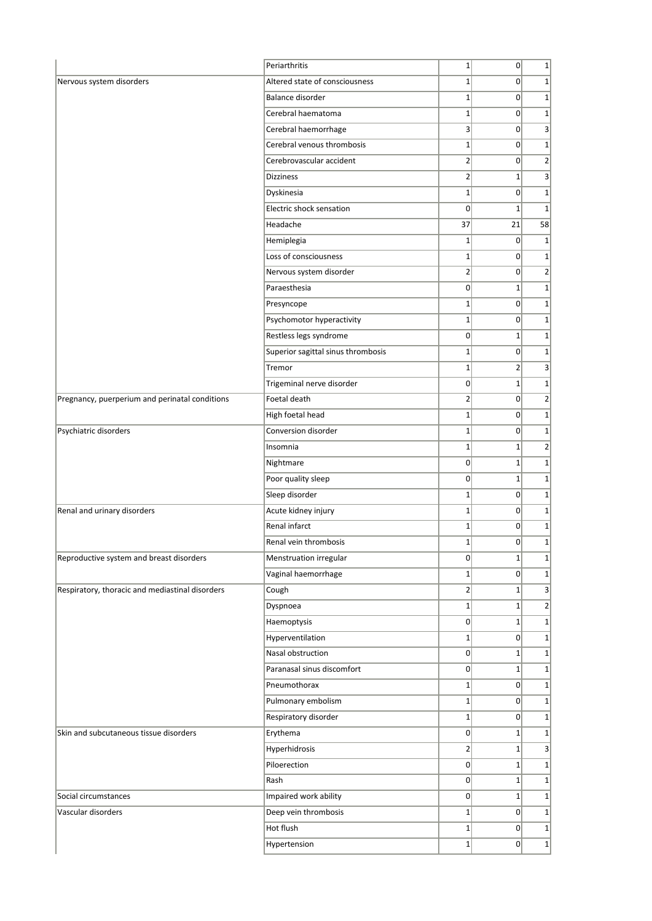|                                                 | Periarthritis                      | $1\vert$       | $\overline{0}$ | $\mathbf 1$             |
|-------------------------------------------------|------------------------------------|----------------|----------------|-------------------------|
| Nervous system disorders                        | Altered state of consciousness     | $1\vert$       | 0              | $\mathbf{1}$            |
|                                                 | Balance disorder                   | $1\vert$       | $\overline{0}$ | $\mathbf 1$             |
|                                                 | Cerebral haematoma                 | $1\vert$       | 0              | $\mathbf 1$             |
|                                                 | Cerebral haemorrhage               | $\vert$ 3      | $\overline{0}$ | 3                       |
|                                                 | Cerebral venous thrombosis         | $1\vert$       | $\overline{0}$ | $\mathbf{1}$            |
|                                                 | Cerebrovascular accident           | $\overline{2}$ | $\overline{0}$ | $\overline{2}$          |
|                                                 | <b>Dizziness</b>                   | $2\vert$       | $1\vert$       | $\overline{\mathbf{3}}$ |
|                                                 | Dyskinesia                         | $1\vert$       | 0              | $\mathbf{1}$            |
|                                                 | Electric shock sensation           | $\overline{0}$ | $1\vert$       | $\mathbf{1}$            |
|                                                 | Headache                           | 37             | 21             | 58                      |
|                                                 | Hemiplegia                         | $\mathbf{1}$   | $\overline{0}$ | 1                       |
|                                                 | Loss of consciousness              | $1\vert$       | $\overline{0}$ | $\mathbf 1$             |
|                                                 | Nervous system disorder            | 2              | $\overline{0}$ | $\overline{2}$          |
|                                                 | Paraesthesia                       | $\overline{0}$ | $1\vert$       | $\mathbf{1}$            |
|                                                 | Presyncope                         | $1\vert$       | $\overline{0}$ | $\mathbf 1$             |
|                                                 | Psychomotor hyperactivity          | $1\vert$       | $\overline{0}$ | $\mathbf 1$             |
|                                                 | Restless legs syndrome             | $\overline{0}$ | 1              | $\mathbf{1}$            |
|                                                 | Superior sagittal sinus thrombosis | $1\vert$       | $\overline{0}$ | $\mathbf{1}$            |
|                                                 | Tremor                             | $1\vert$       | $\overline{2}$ | 3                       |
|                                                 | Trigeminal nerve disorder          | $\overline{0}$ | $1\vert$       | $\mathbf{1}$            |
| Pregnancy, puerperium and perinatal conditions  | Foetal death                       | $2\vert$       | 0              | $\overline{2}$          |
|                                                 | High foetal head                   | 1              | 0              | $\mathbf 1$             |
| Psychiatric disorders                           | Conversion disorder                | $1\vert$       | $\overline{0}$ | $\mathbf{1}$            |
|                                                 | Insomnia                           | $1\vert$       | $1\vert$       | $\overline{2}$          |
|                                                 | Nightmare                          | $\overline{0}$ | $1\vert$       | $\mathbf 1$             |
|                                                 | Poor quality sleep                 | $\overline{0}$ | $1\vert$       | $\mathbf{1}$            |
|                                                 | Sleep disorder                     | $1\vert$       | 0              | $\mathbf 1$             |
| Renal and urinary disorders                     | Acute kidney injury                | $1\vert$       | $\overline{0}$ | $\mathbf 1$             |
|                                                 | Renal infarct                      | $1\vert$       | 0              | $\mathbf 1$             |
|                                                 | Renal vein thrombosis              | $1\vert$       | 0              | $\mathbf{1}$            |
| Reproductive system and breast disorders        | Menstruation irregular             | $\overline{0}$ | $1\vert$       | $\mathbf{1}$            |
|                                                 | Vaginal haemorrhage                | $1\vert$       | $\overline{0}$ | $\mathbf 1$             |
| Respiratory, thoracic and mediastinal disorders | Cough                              | $\overline{2}$ | $1\vert$       | 3                       |
|                                                 | Dyspnoea                           | $1\vert$       | $1\vert$       | $\overline{2}$          |
|                                                 | Haemoptysis                        | $\Omega$       | $1\vert$       | $\mathbf 1$             |
|                                                 | Hyperventilation                   | $1\vert$       | 0              | $\mathbf{1}$            |
|                                                 | Nasal obstruction                  | $\overline{0}$ | $1\vert$       | $\mathbf 1$             |
|                                                 | Paranasal sinus discomfort         | 0              | $1\vert$       | $\mathbf 1$             |
|                                                 | Pneumothorax                       | $1\vert$       | 0              | $\mathbf{1}$            |
|                                                 | Pulmonary embolism                 | $1\vert$       | $\overline{0}$ | $\mathbf 1$             |
|                                                 | Respiratory disorder               | $1\vert$       | 0              | $\mathbf 1$             |
| Skin and subcutaneous tissue disorders          | Erythema                           | $\overline{0}$ | $1\vert$       | $\mathbf{1}$            |
|                                                 | Hyperhidrosis                      | $\overline{2}$ | 1              | 3                       |
|                                                 | Piloerection                       | 0              | $1\vert$       | $\mathbf 1$             |
|                                                 | Rash                               | 0              | $1\vert$       | $\mathbf{1}$            |
| Social circumstances                            | Impaired work ability              | 0              | $1\vert$       | $\mathbf 1$             |
| Vascular disorders                              | Deep vein thrombosis               | $1\vert$       | 0              | $\mathbf 1$             |
|                                                 | Hot flush                          | $1\vert$       | 0              | $\mathbf{1}$            |
|                                                 | Hypertension                       | $1\vert$       | 0              | $\mathbf 1$             |
|                                                 |                                    |                |                |                         |